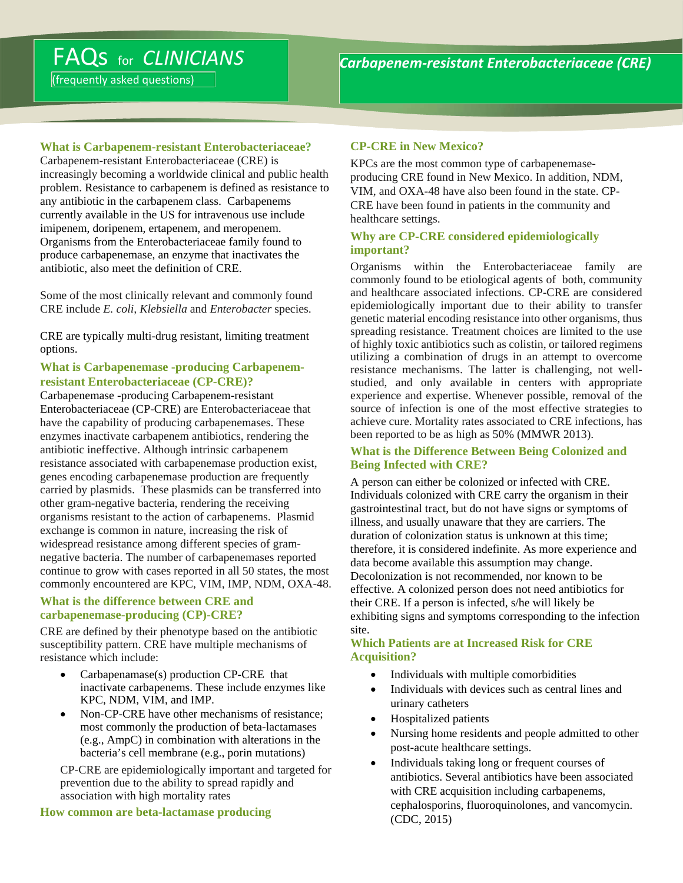(frequently asked questions)

# **What is Carbapenem-resistant Enterobacteriaceae?**

Carbapenem-resistant Enterobacteriaceae (CRE) is increasingly becoming a worldwide clinical and public health problem. Resistance to carbapenem is defined as resistance to any antibiotic in the carbapenem class. Carbapenems currently available in the US for intravenous use include imipenem, doripenem, ertapenem, and meropenem. Organisms from the Enterobacteriaceae family found to produce carbapenemase, an enzyme that inactivates the antibiotic, also meet the definition of CRE.

Some of the most clinically relevant and commonly found CRE include *E. coli, Klebsiella* and *Enterobacter* species.

CRE are typically multi-drug resistant, limiting treatment options.

## **What is Carbapenemase -producing Carbapenemresistant Enterobacteriaceae (CP-CRE)?**

Carbapenemase -producing Carbapenem-resistant Enterobacteriaceae (CP-CRE) are Enterobacteriaceae that have the capability of producing carbapenemases. These enzymes inactivate carbapenem antibiotics, rendering the antibiotic ineffective. Although intrinsic carbapenem resistance associated with carbapenemase production exist, genes encoding carbapenemase production are frequently carried by plasmids. These plasmids can be transferred into other gram-negative bacteria, rendering the receiving organisms resistant to the action of carbapenems. Plasmid exchange is common in nature, increasing the risk of widespread resistance among different species of gramnegative bacteria. The number of carbapenemases reported continue to grow with cases reported in all 50 states, the most commonly encountered are KPC, VIM, IMP, NDM, OXA-48.

#### **What is the difference between CRE and carbapenemase-producing (CP)-CRE?**

CRE are defined by their phenotype based on the antibiotic susceptibility pattern. CRE have multiple mechanisms of resistance which include:

- Carbapenamase(s) production CP-CRE that inactivate carbapenems. These include enzymes like KPC, NDM, VIM, and IMP.
- Non-CP-CRE have other mechanisms of resistance; most commonly the production of beta-lactamases (e.g., AmpC) in combination with alterations in the bacteria's cell membrane (e.g., porin mutations)

CP-CRE are epidemiologically important and targeted for prevention due to the ability to spread rapidly and association with high mortality rates

#### **How common are beta-lactamase producing**

# **CP-CRE in New Mexico?**

KPCs are the most common type of carbapenemaseproducing CRE found in New Mexico. In addition, NDM, VIM, and OXA-48 have also been found in the state. CP-CRE have been found in patients in the community and healthcare settings.

#### **Why are CP-CRE considered epidemiologically important?**

Organisms within the Enterobacteriaceae family are commonly found to be etiological agents of both, community and healthcare associated infections. CP-CRE are considered epidemiologically important due to their ability to transfer genetic material encoding resistance into other organisms, thus spreading resistance. Treatment choices are limited to the use of highly toxic antibiotics such as colistin, or tailored regimens utilizing a combination of drugs in an attempt to overcome resistance mechanisms. The latter is challenging, not wellstudied, and only available in centers with appropriate experience and expertise. Whenever possible, removal of the source of infection is one of the most effective strategies to achieve cure. Mortality rates associated to CRE infections, has been reported to be as high as 50% (MMWR 2013).

### **What is the Difference Between Being Colonized and Being Infected with CRE?**

A person can either be colonized or infected with CRE. Individuals colonized with CRE carry the organism in their gastrointestinal tract, but do not have signs or symptoms of illness, and usually unaware that they are carriers. The duration of colonization status is unknown at this time; therefore, it is considered indefinite. As more experience and data become available this assumption may change. Decolonization is not recommended, nor known to be effective. A colonized person does not need antibiotics for their CRE. If a person is infected, s/he will likely be exhibiting signs and symptoms corresponding to the infection site.

## **Which Patients are at Increased Risk for CRE Acquisition?**

- Individuals with multiple comorbidities
- Individuals with devices such as central lines and urinary catheters
- Hospitalized patients
- Nursing home residents and people admitted to other post-acute healthcare settings.
- Individuals taking long or frequent courses of antibiotics. Several antibiotics have been associated with CRE acquisition including carbapenems, cephalosporins, fluoroquinolones, and vancomycin. (CDC, 2015)